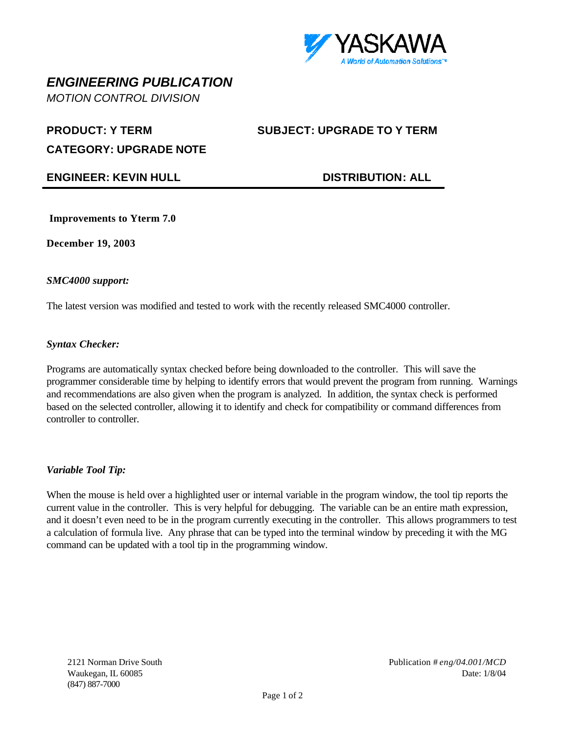

# *ENGINEERING PUBLICATION*

*MOTION CONTROL DIVISION*

**PRODUCT: Y TERM SUBJECT: UPGRADE TO Y TERM**

**CATEGORY: UPGRADE NOTE**

## **ENGINEER: KEVIN HULL DISTRIBUTION: ALL**

**Improvements to Yterm 7.0**

**December 19, 2003**

#### *SMC4000 support:*

The latest version was modified and tested to work with the recently released SMC4000 controller.

#### *Syntax Checker:*

Programs are automatically syntax checked before being downloaded to the controller. This will save the programmer considerable time by helping to identify errors that would prevent the program from running. Warnings and recommendations are also given when the program is analyzed. In addition, the syntax check is performed based on the selected controller, allowing it to identify and check for compatibility or command differences from controller to controller.

### *Variable Tool Tip:*

When the mouse is held over a highlighted user or internal variable in the program window, the tool tip reports the current value in the controller. This is very helpful for debugging. The variable can be an entire math expression, and it doesn't even need to be in the program currently executing in the controller. This allows programmers to test a calculation of formula live. Any phrase that can be typed into the terminal window by preceding it with the MG command can be updated with a tool tip in the programming window.